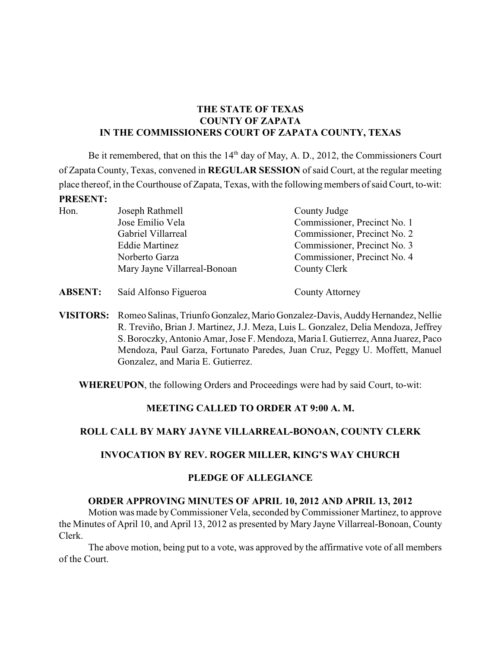## **THE STATE OF TEXAS COUNTY OF ZAPATA IN THE COMMISSIONERS COURT OF ZAPATA COUNTY, TEXAS**

Be it remembered, that on this the  $14<sup>th</sup>$  day of May, A. D., 2012, the Commissioners Court of Zapata County, Texas, convened in **REGULAR SESSION** of said Court, at the regular meeting place thereof, in the Courthouse of Zapata, Texas, with the following members of said Court, to-wit: **PRESENT:**

| Hon. | Joseph Rathmell              | County Judge                 |  |
|------|------------------------------|------------------------------|--|
|      | Jose Emilio Vela             | Commissioner, Precinct No. 1 |  |
|      | Gabriel Villarreal           | Commissioner, Precinct No. 2 |  |
|      | <b>Eddie Martinez</b>        | Commissioner, Precinct No. 3 |  |
|      | Norberto Garza               | Commissioner, Precinct No. 4 |  |
|      | Mary Jayne Villarreal-Bonoan | County Clerk                 |  |

**ABSENT:** Saíd Alfonso Figueroa County Attorney

**VISITORS:** Romeo Salinas, Triunfo Gonzalez, Mario Gonzalez-Davis, Auddy Hernandez, Nellie R. Treviño, Brian J. Martinez, J.J. Meza, Luis L. Gonzalez, Delia Mendoza, Jeffrey S. Boroczky, Antonio Amar, Jose F. Mendoza, Maria I. Gutierrez, Anna Juarez, Paco Mendoza, Paul Garza, Fortunato Paredes, Juan Cruz, Peggy U. Moffett, Manuel Gonzalez, and Maria E. Gutierrez.

**WHEREUPON**, the following Orders and Proceedings were had by said Court, to-wit:

## **MEETING CALLED TO ORDER AT 9:00 A. M.**

# **ROLL CALL BY MARY JAYNE VILLARREAL-BONOAN, COUNTY CLERK**

## **INVOCATION BY REV. ROGER MILLER, KING'S WAY CHURCH**

## **PLEDGE OF ALLEGIANCE**

## **ORDER APPROVING MINUTES OF APRIL 10, 2012 AND APRIL 13, 2012**

Motion was made byCommissioner Vela, seconded by Commissioner Martinez, to approve the Minutes of April 10, and April 13, 2012 as presented by Mary Jayne Villarreal-Bonoan, County Clerk.

The above motion, being put to a vote, was approved by the affirmative vote of all members of the Court.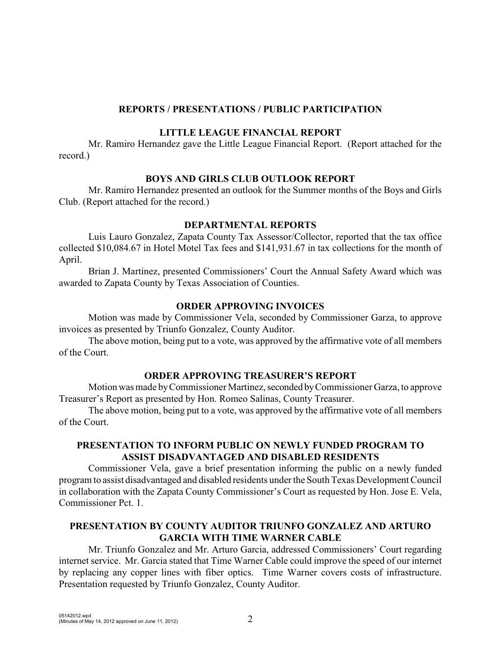#### **REPORTS / PRESENTATIONS / PUBLIC PARTICIPATION**

#### **LITTLE LEAGUE FINANCIAL REPORT**

Mr. Ramiro Hernandez gave the Little League Financial Report. (Report attached for the record.)

#### **BOYS AND GIRLS CLUB OUTLOOK REPORT**

Mr. Ramiro Hernandez presented an outlook for the Summer months of the Boys and Girls Club. (Report attached for the record.)

### **DEPARTMENTAL REPORTS**

Luis Lauro Gonzalez, Zapata County Tax Assessor/Collector, reported that the tax office collected \$10,084.67 in Hotel Motel Tax fees and \$141,931.67 in tax collections for the month of April.

Brian J. Martinez, presented Commissioners' Court the Annual Safety Award which was awarded to Zapata County by Texas Association of Counties.

#### **ORDER APPROVING INVOICES**

Motion was made by Commissioner Vela, seconded by Commissioner Garza, to approve invoices as presented by Triunfo Gonzalez, County Auditor.

The above motion, being put to a vote, was approved by the affirmative vote of all members of the Court.

#### **ORDER APPROVING TREASURER'S REPORT**

Motion was made by Commissioner Martinez, seconded by Commissioner Garza, to approve Treasurer's Report as presented by Hon. Romeo Salinas, County Treasurer.

The above motion, being put to a vote, was approved by the affirmative vote of all members of the Court.

### **PRESENTATION TO INFORM PUBLIC ON NEWLY FUNDED PROGRAM TO ASSIST DISADVANTAGED AND DISABLED RESIDENTS**

Commissioner Vela, gave a brief presentation informing the public on a newly funded program to assist disadvantaged and disabled residents under the South Texas Development Council in collaboration with the Zapata County Commissioner's Court as requested by Hon. Jose E. Vela, Commissioner Pct. 1.

# **PRESENTATION BY COUNTY AUDITOR TRIUNFO GONZALEZ AND ARTURO GARCIA WITH TIME WARNER CABLE**

Mr. Triunfo Gonzalez and Mr. Arturo Garcia, addressed Commissioners' Court regarding internet service. Mr. Garcia stated that Time Warner Cable could improve the speed of our internet by replacing any copper lines with fiber optics. Time Warner covers costs of infrastructure. Presentation requested by Triunfo Gonzalez, County Auditor.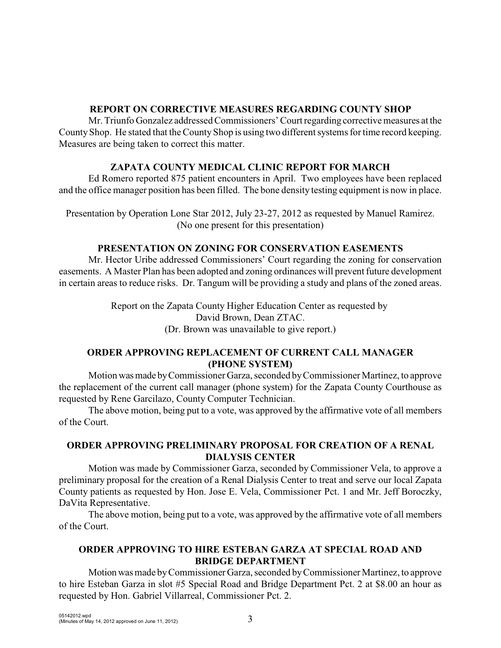## **REPORT ON CORRECTIVE MEASURES REGARDING COUNTY SHOP**

Mr. Triunfo Gonzalez addressed Commissioners' Court regarding corrective measures at the CountyShop. He stated that the County Shop is using two different systems for time record keeping. Measures are being taken to correct this matter.

# **ZAPATA COUNTY MEDICAL CLINIC REPORT FOR MARCH**

Ed Romero reported 875 patient encounters in April. Two employees have been replaced and the office manager position has been filled. The bone density testing equipment is now in place.

Presentation by Operation Lone Star 2012, July 23-27, 2012 as requested by Manuel Ramirez. (No one present for this presentation)

# **PRESENTATION ON ZONING FOR CONSERVATION EASEMENTS**

Mr. Hector Uribe addressed Commissioners' Court regarding the zoning for conservation easements. A Master Plan has been adopted and zoning ordinances will prevent future development in certain areas to reduce risks. Dr. Tangum will be providing a study and plans of the zoned areas.

> Report on the Zapata County Higher Education Center as requested by David Brown, Dean ZTAC. (Dr. Brown was unavailable to give report.)

## **ORDER APPROVING REPLACEMENT OF CURRENT CALL MANAGER (PHONE SYSTEM)**

Motion was made by Commissioner Garza, seconded by Commissioner Martinez, to approve the replacement of the current call manager (phone system) for the Zapata County Courthouse as requested by Rene Garcilazo, County Computer Technician.

The above motion, being put to a vote, was approved by the affirmative vote of all members of the Court.

# **ORDER APPROVING PRELIMINARY PROPOSAL FOR CREATION OF A RENAL DIALYSIS CENTER**

Motion was made by Commissioner Garza, seconded by Commissioner Vela, to approve a preliminary proposal for the creation of a Renal Dialysis Center to treat and serve our local Zapata County patients as requested by Hon. Jose E. Vela, Commissioner Pct. 1 and Mr. Jeff Boroczky, DaVita Representative.

The above motion, being put to a vote, was approved by the affirmative vote of all members of the Court.

# **ORDER APPROVING TO HIRE ESTEBAN GARZA AT SPECIAL ROAD AND BRIDGE DEPARTMENT**

Motion was made by Commissioner Garza, seconded by Commissioner Martinez, to approve to hire Esteban Garza in slot #5 Special Road and Bridge Department Pct. 2 at \$8.00 an hour as requested by Hon. Gabriel Villarreal, Commissioner Pct. 2.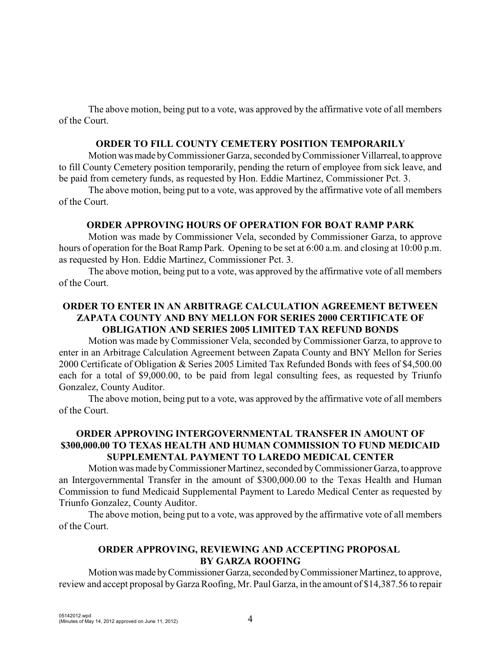The above motion, being put to a vote, was approved by the affirmative vote of all members of the Court.

#### **ORDER TO FILL COUNTY CEMETERY POSITION TEMPORARILY**

Motion was made by Commissioner Garza, seconded by Commissioner Villarreal, to approve to fill County Cemetery position temporarily, pending the return of employee from sick leave, and be paid from cemetery funds, as requested by Hon. Eddie Martinez, Commissioner Pct. 3.

The above motion, being put to a vote, was approved by the affirmative vote of all members of the Court.

#### **ORDER APPROVING HOURS OF OPERATION FOR BOAT RAMP PARK**

Motion was made by Commissioner Vela, seconded by Commissioner Garza, to approve hours of operation for the Boat Ramp Park. Opening to be set at 6:00 a.m. and closing at 10:00 p.m. as requested by Hon. Eddie Martinez, Commissioner Pct. 3.

The above motion, being put to a vote, was approved by the affirmative vote of all members of the Court.

# **ORDER TO ENTER IN AN ARBITRAGE CALCULATION AGREEMENT BETWEEN ZAPATA COUNTY AND BNY MELLON FOR SERIES 2000 CERTIFICATE OF OBLIGATION AND SERIES 2005 LIMITED TAX REFUND BONDS**

Motion was made byCommissioner Vela, seconded by Commissioner Garza, to approve to enter in an Arbitrage Calculation Agreement between Zapata County and BNY Mellon for Series 2000 Certificate of Obligation & Series 2005 Limited Tax Refunded Bonds with fees of \$4,500.00 each for a total of \$9,000.00, to be paid from legal consulting fees, as requested by Triunfo Gonzalez, County Auditor.

The above motion, being put to a vote, was approved by the affirmative vote of all members of the Court.

### **ORDER APPROVING INTERGOVERNMENTAL TRANSFER IN AMOUNT OF \$300,000.00 TO TEXAS HEALTH AND HUMAN COMMISSION TO FUND MEDICAID SUPPLEMENTAL PAYMENT TO LAREDO MEDICAL CENTER**

Motion was made by Commissioner Martinez, seconded by Commissioner Garza, to approve an Intergovernmental Transfer in the amount of \$300,000.00 to the Texas Health and Human Commission to fund Medicaid Supplemental Payment to Laredo Medical Center as requested by Triunfo Gonzalez, County Auditor.

The above motion, being put to a vote, was approved by the affirmative vote of all members of the Court.

## **ORDER APPROVING, REVIEWING AND ACCEPTING PROPOSAL BY GARZA ROOFING**

Motion was made by Commissioner Garza, seconded by Commissioner Martinez, to approve, review and accept proposal by Garza Roofing, Mr. Paul Garza, in the amount of \$14,387.56 to repair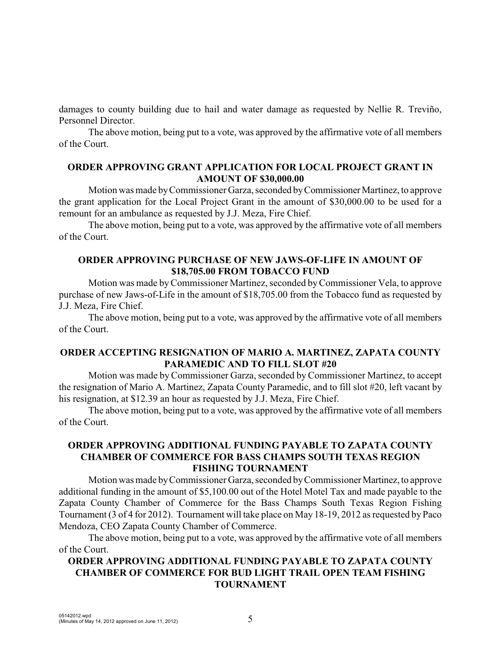damages to county building due to hail and water damage as requested by Nellie R. Treviño, Personnel Director.

The above motion, being put to a vote, was approved by the affirmative vote of all members of the Court.

#### **ORDER APPROVING GRANT APPLICATION FOR LOCAL PROJECT GRANT IN AMOUNT OF \$30,000.00**

Motion was made by Commissioner Garza, seconded by Commissioner Martinez, to approve the grant application for the Local Project Grant in the amount of \$30,000.00 to be used for a remount for an ambulance as requested by J.J. Meza, Fire Chief.

The above motion, being put to a vote, was approved by the affirmative vote of all members of the Court.

## **ORDER APPROVING PURCHASE OF NEW JAWS-OF-LIFE IN AMOUNT OF \$18,705.00 FROM TOBACCO FUND**

Motion was made byCommissioner Martinez, seconded by Commissioner Vela, to approve purchase of new Jaws-of-Life in the amount of \$18,705.00 from the Tobacco fund as requested by J.J. Meza, Fire Chief.

The above motion, being put to a vote, was approved by the affirmative vote of all members of the Court.

### **ORDER ACCEPTING RESIGNATION OF MARIO A. MARTINEZ, ZAPATA COUNTY PARAMEDIC AND TO FILL SLOT #20**

Motion was made by Commissioner Garza, seconded by Commissioner Martinez, to accept the resignation of Mario A. Martinez, Zapata County Paramedic, and to fill slot #20, left vacant by his resignation, at \$12.39 an hour as requested by J.J. Meza, Fire Chief.

The above motion, being put to a vote, was approved by the affirmative vote of all members of the Court.

### **ORDER APPROVING ADDITIONAL FUNDING PAYABLE TO ZAPATA COUNTY CHAMBER OF COMMERCE FOR BASS CHAMPS SOUTH TEXAS REGION FISHING TOURNAMENT**

Motion was made by Commissioner Garza, seconded by Commissioner Martinez, to approve additional funding in the amount of \$5,100.00 out of the Hotel Motel Tax and made payable to the Zapata County Chamber of Commerce for the Bass Champs South Texas Region Fishing Tournament (3 of 4 for 2012). Tournament will take place on May 18-19, 2012 as requested by Paco Mendoza, CEO Zapata County Chamber of Commerce.

The above motion, being put to a vote, was approved by the affirmative vote of all members of the Court.

# **ORDER APPROVING ADDITIONAL FUNDING PAYABLE TO ZAPATA COUNTY CHAMBER OF COMMERCE FOR BUD LIGHT TRAIL OPEN TEAM FISHING TOURNAMENT**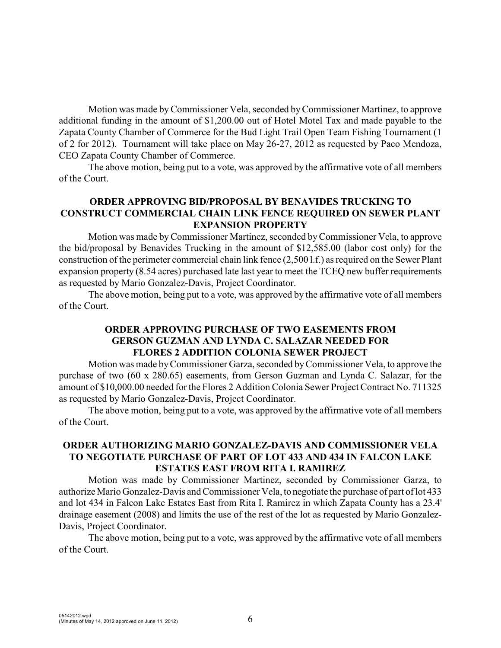Motion was made byCommissioner Vela, seconded by Commissioner Martinez, to approve additional funding in the amount of \$1,200.00 out of Hotel Motel Tax and made payable to the Zapata County Chamber of Commerce for the Bud Light Trail Open Team Fishing Tournament (1 of 2 for 2012). Tournament will take place on May 26-27, 2012 as requested by Paco Mendoza, CEO Zapata County Chamber of Commerce.

The above motion, being put to a vote, was approved by the affirmative vote of all members of the Court.

### **ORDER APPROVING BID/PROPOSAL BY BENAVIDES TRUCKING TO CONSTRUCT COMMERCIAL CHAIN LINK FENCE REQUIRED ON SEWER PLANT EXPANSION PROPERTY**

Motion was made byCommissioner Martinez, seconded by Commissioner Vela, to approve the bid/proposal by Benavides Trucking in the amount of \$12,585.00 (labor cost only) for the construction of the perimeter commercial chain link fence (2,500 l.f.) as required on the Sewer Plant expansion property (8.54 acres) purchased late last year to meet the TCEQ new buffer requirements as requested by Mario Gonzalez-Davis, Project Coordinator.

The above motion, being put to a vote, was approved by the affirmative vote of all members of the Court.

## **ORDER APPROVING PURCHASE OF TWO EASEMENTS FROM GERSON GUZMAN AND LYNDA C. SALAZAR NEEDED FOR FLORES 2 ADDITION COLONIA SEWER PROJECT**

Motion was made by Commissioner Garza, seconded by Commissioner Vela, to approve the purchase of two (60 x 280.65) easements, from Gerson Guzman and Lynda C. Salazar, for the amount of \$10,000.00 needed for the Flores 2 Addition Colonia Sewer Project Contract No. 711325 as requested by Mario Gonzalez-Davis, Project Coordinator.

The above motion, being put to a vote, was approved by the affirmative vote of all members of the Court.

### **ORDER AUTHORIZING MARIO GONZALEZ-DAVIS AND COMMISSIONER VELA TO NEGOTIATE PURCHASE OF PART OF LOT 433 AND 434 IN FALCON LAKE ESTATES EAST FROM RITA I. RAMIREZ**

Motion was made by Commissioner Martinez, seconded by Commissioner Garza, to authorize Mario Gonzalez-Davis and Commissioner Vela, to negotiate the purchase of part of lot 433 and lot 434 in Falcon Lake Estates East from Rita I. Ramirez in which Zapata County has a 23.4' drainage easement (2008) and limits the use of the rest of the lot as requested by Mario Gonzalez-Davis, Project Coordinator.

The above motion, being put to a vote, was approved by the affirmative vote of all members of the Court.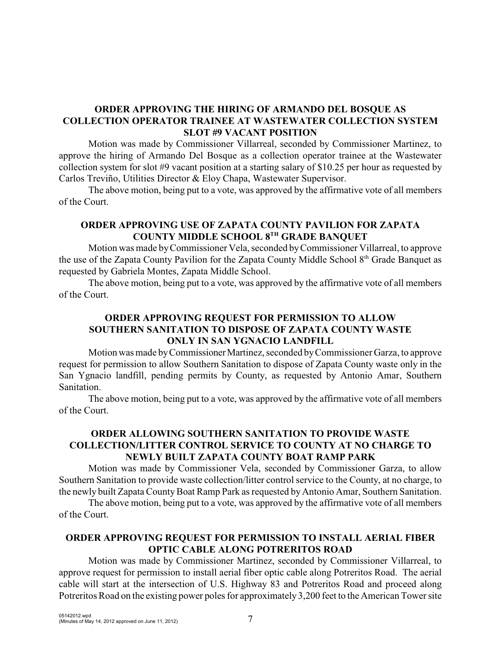## **ORDER APPROVING THE HIRING OF ARMANDO DEL BOSQUE AS COLLECTION OPERATOR TRAINEE AT WASTEWATER COLLECTION SYSTEM SLOT #9 VACANT POSITION**

Motion was made by Commissioner Villarreal, seconded by Commissioner Martinez, to approve the hiring of Armando Del Bosque as a collection operator trainee at the Wastewater collection system for slot #9 vacant position at a starting salary of \$10.25 per hour as requested by Carlos Treviño, Utilities Director & Eloy Chapa, Wastewater Supervisor.

The above motion, being put to a vote, was approved by the affirmative vote of all members of the Court.

## **ORDER APPROVING USE OF ZAPATA COUNTY PAVILION FOR ZAPATA COUNTY MIDDLE SCHOOL 8TH GRADE BANQUET**

Motion was made byCommissioner Vela, seconded byCommissioner Villarreal, to approve the use of the Zapata County Pavilion for the Zapata County Middle School  $8<sup>th</sup>$  Grade Banquet as requested by Gabriela Montes, Zapata Middle School.

The above motion, being put to a vote, was approved by the affirmative vote of all members of the Court.

## **ORDER APPROVING REQUEST FOR PERMISSION TO ALLOW SOUTHERN SANITATION TO DISPOSE OF ZAPATA COUNTY WASTE ONLY IN SAN YGNACIO LANDFILL**

Motion was made by Commissioner Martinez, seconded by Commissioner Garza, to approve request for permission to allow Southern Sanitation to dispose of Zapata County waste only in the San Ygnacio landfill, pending permits by County, as requested by Antonio Amar, Southern Sanitation.

The above motion, being put to a vote, was approved by the affirmative vote of all members of the Court.

### **ORDER ALLOWING SOUTHERN SANITATION TO PROVIDE WASTE COLLECTION/LITTER CONTROL SERVICE TO COUNTY AT NO CHARGE TO NEWLY BUILT ZAPATA COUNTY BOAT RAMP PARK**

Motion was made by Commissioner Vela, seconded by Commissioner Garza, to allow Southern Sanitation to provide waste collection/litter control service to the County, at no charge, to the newly built Zapata County Boat Ramp Park as requested by Antonio Amar, Southern Sanitation.

The above motion, being put to a vote, was approved by the affirmative vote of all members of the Court.

## **ORDER APPROVING REQUEST FOR PERMISSION TO INSTALL AERIAL FIBER OPTIC CABLE ALONG POTRERITOS ROAD**

Motion was made by Commissioner Martinez, seconded by Commissioner Villarreal, to approve request for permission to install aerial fiber optic cable along Potreritos Road. The aerial cable will start at the intersection of U.S. Highway 83 and Potreritos Road and proceed along Potreritos Road on the existing power poles for approximately 3,200 feet to the American Tower site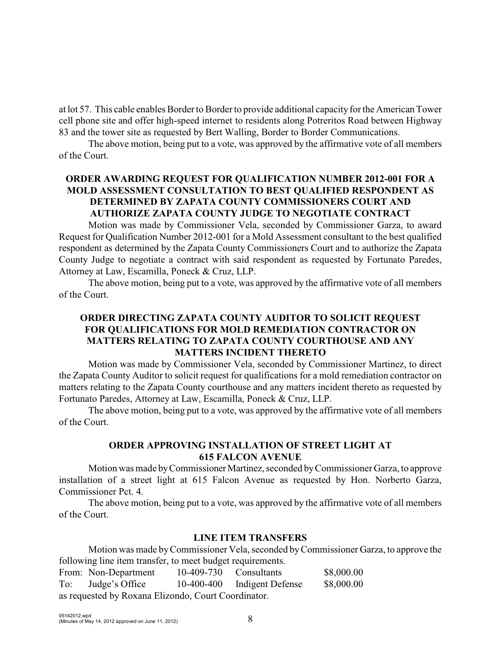at lot 57. This cable enables Border to Border to provide additional capacity for the American Tower cell phone site and offer high-speed internet to residents along Potreritos Road between Highway 83 and the tower site as requested by Bert Walling, Border to Border Communications.

The above motion, being put to a vote, was approved by the affirmative vote of all members of the Court.

## **ORDER AWARDING REQUEST FOR QUALIFICATION NUMBER 2012-001 FOR A MOLD ASSESSMENT CONSULTATION TO BEST QUALIFIED RESPONDENT AS DETERMINED BY ZAPATA COUNTY COMMISSIONERS COURT AND AUTHORIZE ZAPATA COUNTY JUDGE TO NEGOTIATE CONTRACT**

Motion was made by Commissioner Vela, seconded by Commissioner Garza, to award Request for Qualification Number 2012-001 for a Mold Assessment consultant to the best qualified respondent as determined by the Zapata County Commissioners Court and to authorize the Zapata County Judge to negotiate a contract with said respondent as requested by Fortunato Paredes, Attorney at Law, Escamilla, Poneck & Cruz, LLP.

The above motion, being put to a vote, was approved by the affirmative vote of all members of the Court.

# **ORDER DIRECTING ZAPATA COUNTY AUDITOR TO SOLICIT REQUEST FOR QUALIFICATIONS FOR MOLD REMEDIATION CONTRACTOR ON MATTERS RELATING TO ZAPATA COUNTY COURTHOUSE AND ANY MATTERS INCIDENT THERETO**

Motion was made by Commissioner Vela, seconded by Commissioner Martinez, to direct the Zapata County Auditor to solicit request for qualifications for a mold remediation contractor on matters relating to the Zapata County courthouse and any matters incident thereto as requested by Fortunato Paredes, Attorney at Law, Escamilla, Poneck & Cruz, LLP.

The above motion, being put to a vote, was approved by the affirmative vote of all members of the Court.

## **ORDER APPROVING INSTALLATION OF STREET LIGHT AT 615 FALCON AVENUE**

Motion was made by Commissioner Martinez, seconded by Commissioner Garza, to approve installation of a street light at 615 Falcon Avenue as requested by Hon. Norberto Garza, Commissioner Pct. 4.

The above motion, being put to a vote, was approved by the affirmative vote of all members of the Court.

#### **LINE ITEM TRANSFERS**

Motion was made by Commissioner Vela, seconded by Commissioner Garza, to approve the following line item transfer, to meet budget requirements.

|                                                     | From: Non-Department |  |  | $10-409-730$ Consultants    | \$8,000.00 |
|-----------------------------------------------------|----------------------|--|--|-----------------------------|------------|
| To:                                                 | Judge's Office       |  |  | 10-400-400 Indigent Defense | \$8,000.00 |
| as requested by Roxana Elizondo, Court Coordinator. |                      |  |  |                             |            |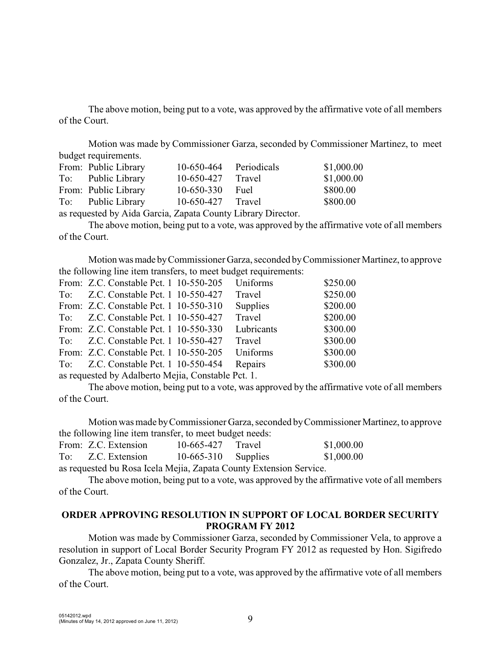The above motion, being put to a vote, was approved by the affirmative vote of all members of the Court.

Motion was made by Commissioner Garza, seconded by Commissioner Martinez, to meet budget requirements.

| From: Public Library | 10-650-464 Periodicals                                            | \$1,000.00 |
|----------------------|-------------------------------------------------------------------|------------|
| To: Public Library   | 10-650-427 Travel                                                 | \$1,000.00 |
| From: Public Library | 10-650-330 Fuel                                                   | \$800.00   |
| To: Public Library   | 10-650-427 Travel                                                 | \$800.00   |
|                      | $\overline{a}$ . $\overline{a}$ . $\overline{r}$ . $\overline{a}$ |            |

as requested by Aida Garcia, Zapata County Library Director.

The above motion, being put to a vote, was approved by the affirmative vote of all members of the Court.

Motion was made by Commissioner Garza, seconded by Commissioner Martinez, to approve the following line item transfers, to meet budget requirements:

|  | From: Z.C. Constable Pct. 1 10-550-205 | Uniforms   | \$250.00 |
|--|----------------------------------------|------------|----------|
|  | To: Z.C. Constable Pct. 1 10-550-427   | Travel     | \$250.00 |
|  | From: Z.C. Constable Pct. 1 10-550-310 | Supplies   | \$200.00 |
|  | To: Z.C. Constable Pct. 1 10-550-427   | Travel     | \$200.00 |
|  | From: Z.C. Constable Pct. 1 10-550-330 | Lubricants | \$300.00 |
|  | To: Z.C. Constable Pct. 1 10-550-427   | Travel     | \$300.00 |
|  | From: Z.C. Constable Pct. 1 10-550-205 | Uniforms   | \$300.00 |
|  | To: Z.C. Constable Pct. 1 10-550-454   | Repairs    | \$300.00 |
|  |                                        |            |          |

as requested by Adalberto Mejia, Constable Pct. 1.

The above motion, being put to a vote, was approved by the affirmative vote of all members of the Court.

Motion was made by Commissioner Garza, seconded by Commissioner Martinez, to approve the following line item transfer, to meet budget needs:

|                                                                                                                                                                                                                                                                                                                                                                                                                                                                                            | From: Z.C. Extension | $10-665-427$ Travel   |  | \$1,000.00 |
|--------------------------------------------------------------------------------------------------------------------------------------------------------------------------------------------------------------------------------------------------------------------------------------------------------------------------------------------------------------------------------------------------------------------------------------------------------------------------------------------|----------------------|-----------------------|--|------------|
|                                                                                                                                                                                                                                                                                                                                                                                                                                                                                            | To: Z.C. Extension   | $10-665-310$ Supplies |  | \$1,000.00 |
| $\blacksquare$ $\blacksquare$ $\blacksquare$ $\blacksquare$ $\blacksquare$ $\blacksquare$ $\blacksquare$ $\blacksquare$ $\blacksquare$ $\blacksquare$ $\blacksquare$ $\blacksquare$ $\blacksquare$ $\blacksquare$ $\blacksquare$ $\blacksquare$ $\blacksquare$ $\blacksquare$ $\blacksquare$ $\blacksquare$ $\blacksquare$ $\blacksquare$ $\blacksquare$ $\blacksquare$ $\blacksquare$ $\blacksquare$ $\blacksquare$ $\blacksquare$ $\blacksquare$ $\blacksquare$ $\blacksquare$ $\blacks$ |                      |                       |  |            |

as requested bu Rosa Icela Mejia, Zapata County Extension Service.

The above motion, being put to a vote, was approved by the affirmative vote of all members of the Court.

### **ORDER APPROVING RESOLUTION IN SUPPORT OF LOCAL BORDER SECURITY PROGRAM FY 2012**

Motion was made by Commissioner Garza, seconded by Commissioner Vela, to approve a resolution in support of Local Border Security Program FY 2012 as requested by Hon. Sigifredo Gonzalez, Jr., Zapata County Sheriff.

The above motion, being put to a vote, was approved by the affirmative vote of all members of the Court.